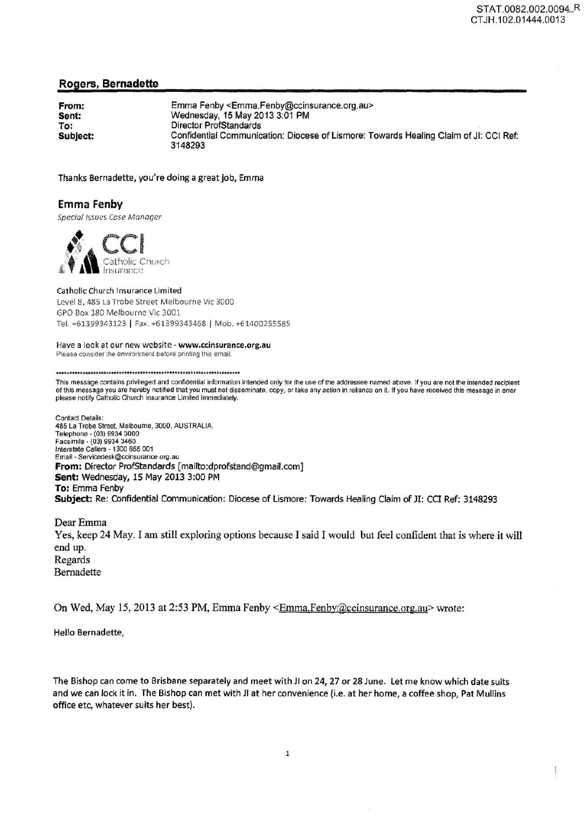# **Rogers, Bernadette**

| From:    | Emma Fenby <emma.fenby@ccinsurance.org.au></emma.fenby@ccinsurance.org.au>                       |
|----------|--------------------------------------------------------------------------------------------------|
| Sent:    | Wednesday, 15 May 2013 3:01 PM                                                                   |
| To:      | Director ProfStandards                                                                           |
| Subject: | Confidential Communication: Diocese of Lismore: Towards Healing Claim of JI: CCI Ref:<br>3148293 |

Thanks Bernadette, you're doing a great job, Emma

## **Emma Fenby**

Special Issues Cose Manager



Catholic Church Insurance Limited Level 8, 485 La Trobe Street Melbourne Vic 3000 GPO Box 180 Melbourne Vic 3001 Tel. +61399343123 | Fax. +61399343468 | Mob. +61400255585

#### Have a look at our new website - www.ccinsurance.org.au Please consider the environment before printing this email.

This message contains privileged and confidential information intended only for the use of the addressee named above. If you are not the intended recipient of this message you are hereby notified that you must not disseminate, copy, or take any action in reliance on ii. If you have received this message in error please notify Catholic Church Insurance Limited immediately.

Contact Details: 485 La Trobe Street. Melbourne, 3000, AUSTRALIA. Telephone - (03) 9934 3000 Facsimile - (03) 9934 3460 Interstate Callers - 1300 655 001 Email - Servicedesk@ccinsurance.org.au **From:** Director ProfStandards [mailto:dprofstand@gmail.com] **Sent:** Wednesday, 15 May 2013 3:00 PM **To:** Emma Fenby **Subject:** Re: Confidential Communication: Diocese of Lismore: Towards Healing Claim of JI: CCI Ref: 3148293

Dear Emma Yes, keep 24 May. I am still exploring options because I said I would but feel confident that is where it will end up. Regards Bernadette

On Wed, May 15, 2013 at 2:53 PM, Emma Fenby <Emma.Fenby@ccinsurance.org.au> wrote:

Hello Bernadette,

The Bishop can come to Brisbane separately and meet with JI on 24, 27 or 28 June. Let me know which date suits and we can lock it in. The Bishop can met with JI at her convenience (i.e. at her home, a coffee shop, Pat Mullins office etc, whatever suits her best).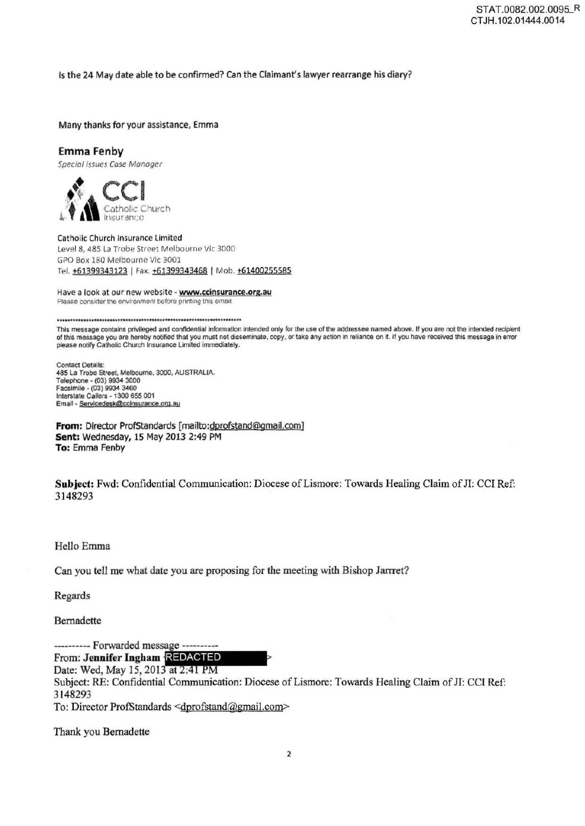Is the 24 May date able to be confirmed? Can the Claimant's lawyer rearrange his diary?

Many thanks for your assistance, Emma

# Emma Fenby

Special Issues Case Manager



Catholic Church Insurance Limited Level 8, 485 La Trobe Street Melbourne Vic 3000 GPO Box 180 Melbourne Vic 3001 Tel. +61399343123 | Fax. +61399343468 | Mob. +61400255585

Have a look at our new website - www.ccinsurance.org.au Please consider the environment before printing this email.

---···-····\_. ... ·--·····---· .. ···············-· ............. \_..-.... -.-.-

This message contains privileged and confidential infonnation intended only for the use of the addressee named above. If you are not the intended recipient of this message you are hereby notified that you must not disseminate, copy, or take any action in reliance on it. If you have received this message in error please notify Catholic Church Insurance Limited immediately.

Contact Details: 485 La Trobe Street. Melbourne. 3000. AUSTRALIA. Telephone • (03) 9934 3000 Facsimile • (03) 9934 3460 Interstate Callers -1300 655 001 Email - Servicedesk@ccinsurance.org.au

From: Director ProfStandards [mailto:dprofstand@gmail.com] Sent: Wednesday, 15 May 2013 2:49 PM To: Emma Fenby

Subject: Fwd: Confidential Communication: Diocese of Lismore: Towards Healing Claim of JI: CCI Ref: 3148293

Hello Emma

Can you *tell* me what date you are proposing for the meeting with Bishop Jarrret?

Regards

Bernadette

---------- Forwarded message ----------

From: Jennifer Ingham REDACTED

Date: Wed, May 15, 2013 at 2:41 PM

Subject: RE: Confidential Communication: Diocese of Lismore: Towards Healing Claim of Il: CCI Ref: 3148293

To: Director ProfStandards <dprofstand@gmail.com>

Thank you Bernadette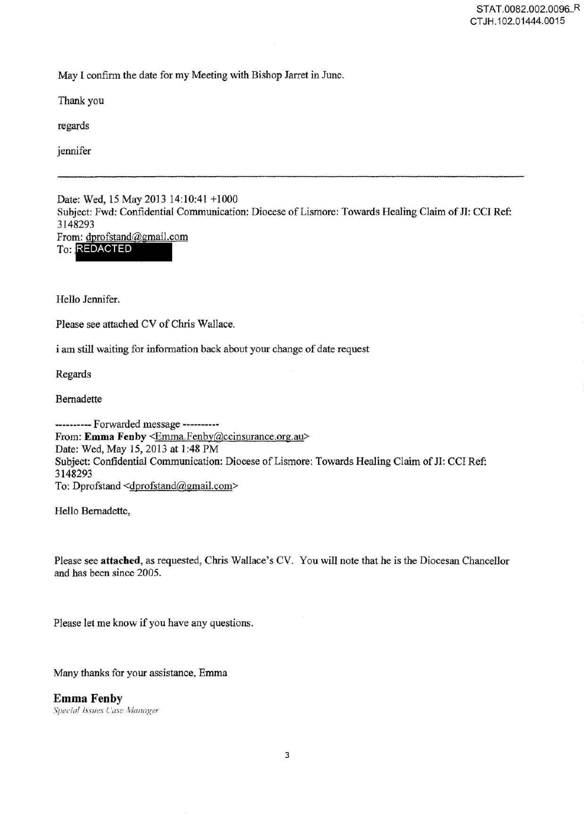May I confirm the date for my Meeting with Bishop Jarret in June.

Thank you

regards

jennifer

Date: Wed, 15 May 2013 14:10:41 +1000 Subject: Fwd: Confidential Communication: Diocese of Lismore: Towards Healing Claim of JI: CCI Ref: 3148293<br>From: dprofstand@gmail.com To: REDACTED

Hello Jennifer.

Please see attached CV of Chris Wallace.

i am still waiting for information back about your change of date request

Regards

Bernadette

---------- Forwarded message ----------From: Emma Fenby <Emma.Fenby@ccinsurance.org.au> Date: Wed, May 15, 2013 at 1 :48 PM Subject: Confidential Communication: Diocese of Lismore: Towards Healing Claim of JI: CCI Ref: 3148293 To: Dprofstand <dprofstand@gmail.com>

Hello Bernadette,

Please see **attached,** as requested, Chris Wallace's CV. You will note that he is the Diocesan Chancellor and has been since 2005.

Please let me know if you have any questions.

Many thanks for your assistance, Emma

**Emma Fenby Special Issues Case Manager**